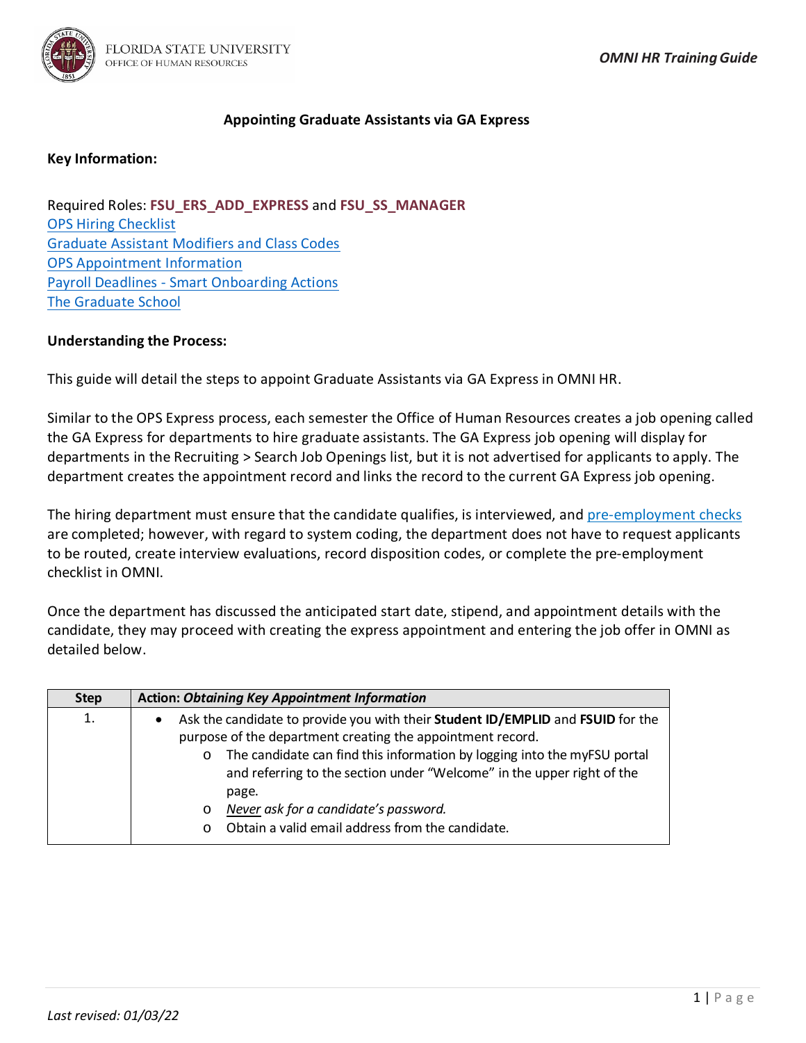

# **Appointing Graduate Assistants via GA Express**

# **Key Information:**

Required Roles: **FSU\_ERS\_ADD\_EXPRESS** and **FSU\_SS\_MANAGER** [OPS Hiring Checklist](https://hr.fsu.edu/PDF/forms/DepartmentalRepresentativeEmploymentChecklistOPS.pdf) [Graduate Assistant Modifiers and Class Codes](https://hr.fsu.edu/?page=edm/ops/ops_graduate_modifiers) [OPS Appointment Information](http://hr.fsu.edu/?page=edm/ops/ops_home) Payroll Deadlines - [Smart Onboarding Actions](https://hr.fsu.edu/communications/calendars) [The Graduate School](https://gradschool.fsu.edu/)

## **Understanding the Process:**

This guide will detail the steps to appoint Graduate Assistants via GA Express in OMNI HR.

Similar to the OPS Express process, each semester the Office of Human Resources creates a job opening called the GA Express for departments to hire graduate assistants. The GA Express job opening will display for departments in the Recruiting > Search Job Openings list, but it is not advertised for applicants to apply. The department creates the appointment record and links the record to the current GA Express job opening.

The hiring department must ensure that the candidate qualifies, is interviewed, and [pre-employment checks](https://hr.fsu.edu/?page=ers/confirm_qualifications) are completed; however, with regard to system coding, the department does not have to request applicants to be routed, create interview evaluations, record disposition codes, or complete the pre-employment checklist in OMNI.

Once the department has discussed the anticipated start date, stipend, and appointment details with the candidate, they may proceed with creating the express appointment and entering the job offer in OMNI as detailed below.

| <b>Step</b> | <b>Action: Obtaining Key Appointment Information</b>                                                                                                                                                                                                                                                                                                                                                                                                     |  |  |  |  |  |
|-------------|----------------------------------------------------------------------------------------------------------------------------------------------------------------------------------------------------------------------------------------------------------------------------------------------------------------------------------------------------------------------------------------------------------------------------------------------------------|--|--|--|--|--|
| 1.          | Ask the candidate to provide you with their Student ID/EMPLID and FSUID for the<br>$\bullet$<br>purpose of the department creating the appointment record.<br>The candidate can find this information by logging into the myFSU portal<br>$\circ$<br>and referring to the section under "Welcome" in the upper right of the<br>page.<br>Never ask for a candidate's password.<br>$\circ$<br>Obtain a valid email address from the candidate.<br>$\Omega$ |  |  |  |  |  |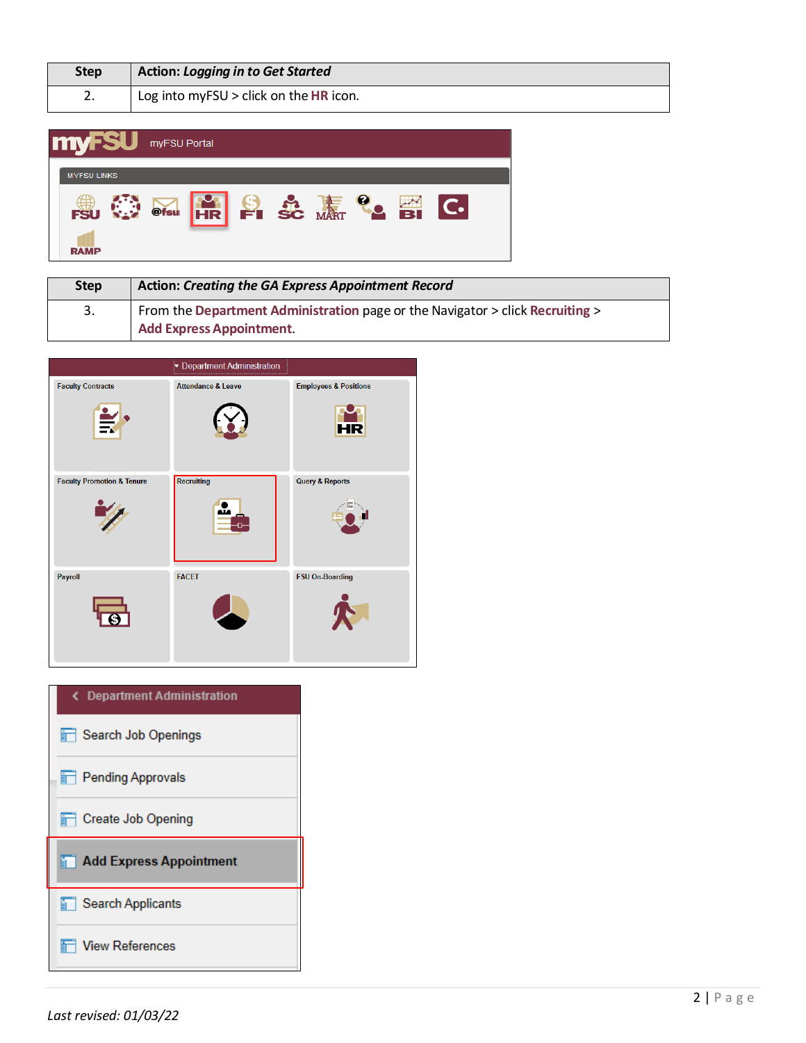| Step | <b>Action: Logging in to Get Started</b> |
|------|------------------------------------------|
| z.   | Log into myFSU $>$ click on the HR icon. |

| <b>myFSU</b> myFSU Portal |                                                |  |  |
|---------------------------|------------------------------------------------|--|--|
| <b>MYFSULINKS</b>         | <b>BU OF DESCRIPTION OF SCHOOL SECTION CO.</b> |  |  |

| <b>Step</b> | <b>Action: Creating the GA Express Appointment Record</b>                     |  |  |  |
|-------------|-------------------------------------------------------------------------------|--|--|--|
| 3.          | From the Department Administration page or the Navigator > click Recruiting > |  |  |  |
|             | <b>Add Express Appointment.</b>                                               |  |  |  |

|                                       | <b>Department Administration</b> |                                               |
|---------------------------------------|----------------------------------|-----------------------------------------------|
| <b>Faculty Contracts</b>              | <b>Attendance &amp; Leave</b>    | <b>Employees &amp; Positions</b><br><b>HR</b> |
| <b>Faculty Promotion &amp; Tenure</b> | <b>Recruiting</b>                | <b>Query &amp; Reports</b>                    |
| Payroll                               | <b>FACET</b>                     | <b>FSU On-Boarding</b>                        |

| く Department Administration    |
|--------------------------------|
| Search Job Openings            |
| <b>Pending Approvals</b>       |
| <b>T</b> Create Job Opening    |
| <b>Add Express Appointment</b> |
| $\Box$ Search Applicants       |
|                                |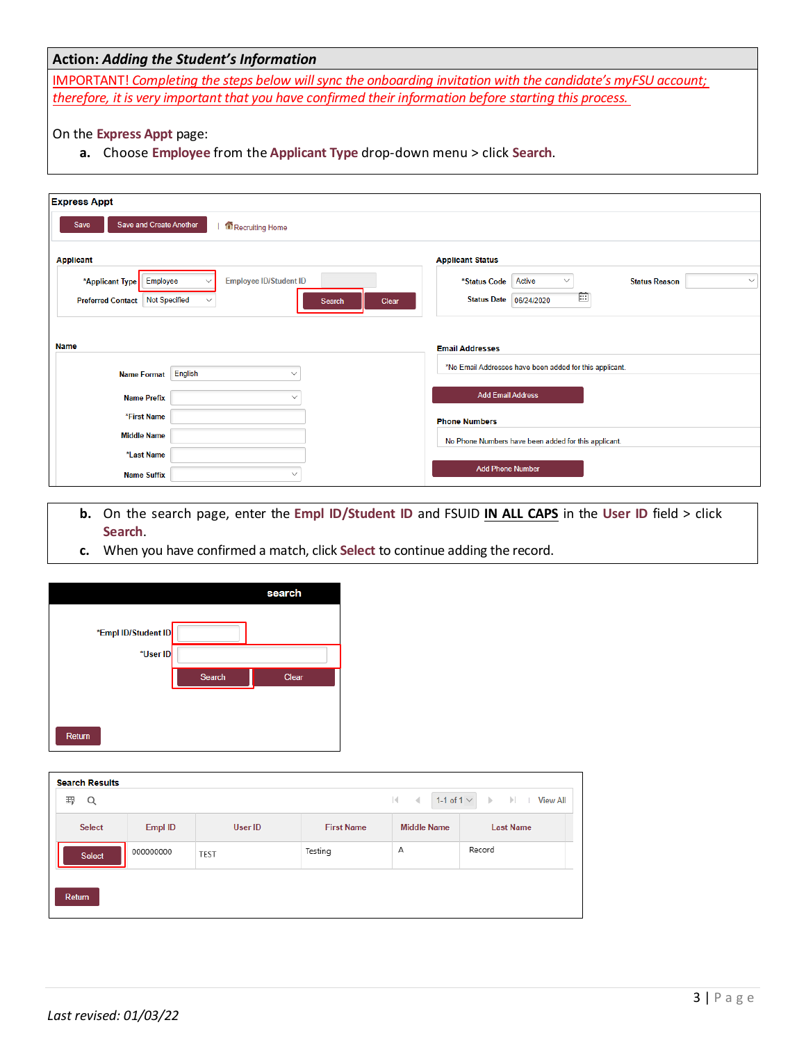## **Action:** *Adding the Student's Information*

IMPORTANT! *Completing the steps below will sync the onboarding invitation with the candidate's myFSU account; therefore, it is very important that you have confirmed their information before starting this process.*

#### On the **Express Appt** page:

**a.** Choose **Employee** from the **Applicant Type** drop-down menu > click **Search**.

| <b>Express Appt</b>                                          |                                                                                |
|--------------------------------------------------------------|--------------------------------------------------------------------------------|
| Save and Create Another<br>Save<br>Recruiting Home           |                                                                                |
| <b>Applicant</b>                                             | <b>Applicant Status</b>                                                        |
| Employee<br><b>Employee ID/Student ID</b><br>*Applicant Type | Active<br>*Status Code<br><b>Status Reason</b><br>$\checkmark$<br>$\checkmark$ |
| <b>Not Specified</b><br><b>Preferred Contact</b>             | 薗<br>Status Date 06/24/2020<br>Clear<br>Search                                 |
|                                                              |                                                                                |
| <b>Name</b>                                                  | <b>Email Addresses</b>                                                         |
| English<br><b>Name Format</b><br>$\checkmark$                | *No Email Addresses have been added for this applicant.                        |
|                                                              |                                                                                |
| <b>Name Prefix</b><br>$\checkmark$                           | <b>Add Email Address</b>                                                       |
| *First Name                                                  | <b>Phone Numbers</b>                                                           |
| <b>Middle Name</b>                                           | No Phone Numbers have been added for this applicant.                           |
| *Last Name                                                   |                                                                                |
| <b>Name Suffix</b><br>$\checkmark$                           | <b>Add Phone Number</b>                                                        |

- **b.** On the search page, enter the **Empl ID/Student ID** and FSUID **IN ALL CAPS** in the **User ID** field > click **Search**.
- **c.** When you have confirmed a match, click **Select** to continue adding the record.

|                     |        | search |
|---------------------|--------|--------|
| *Empl ID/Student ID |        |        |
| *User ID            |        |        |
|                     | Search | Clear  |
|                     |        |        |
| Return              |        |        |

| <b>Search Results</b>                   |           |             |                   |                              |                                              |
|-----------------------------------------|-----------|-------------|-------------------|------------------------------|----------------------------------------------|
| 罫<br>Q                                  |           |             |                   | 1-1 of 1 $\vee$<br>$ 4 - 4 $ | $\triangleright$ $\triangleright$ I View All |
| <b>Select</b>                           | Empl ID   | User ID     | <b>First Name</b> | <b>Middle Name</b>           | <b>Last Name</b>                             |
| the control of the control of<br>Select | 000000000 | <b>TEST</b> | Testing           | А                            | Record                                       |
| Return                                  |           |             |                   |                              |                                              |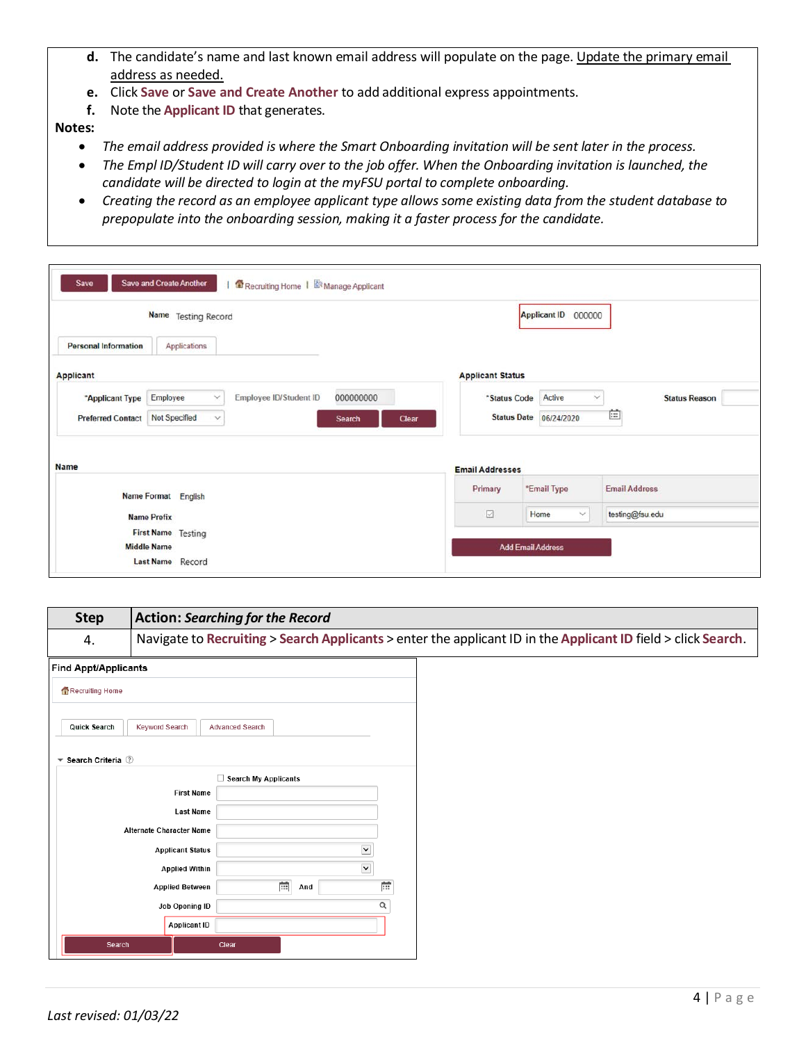- d. The candidate's name and last known email address will populate on the page. Update the primary email address as needed.
- **e.** Click **Save** or **Save and Create Another** to add additional express appointments.
- **f.** Note the **Applicant ID** that generates.

**Notes:** 

- *The email address provided is where the Smart Onboarding invitation will be sent later in the process.*
- *The Empl ID/Student ID will carry over to the job offer. When the Onboarding invitation is launched, the candidate will be directed to login at the myFSU portal to complete onboarding.*
- *Creating the record as an employee applicant type allowssome existing data from the student database to prepopulate into the onboarding session, making it a faster process for the candidate.*

|                             | Name Testing Record           |                        |                 |                         | Applicant ID 000000           |                      |
|-----------------------------|-------------------------------|------------------------|-----------------|-------------------------|-------------------------------|----------------------|
| <b>Personal Information</b> | Applications                  |                        |                 |                         |                               |                      |
| <b>Applicant</b>            |                               |                        |                 | <b>Applicant Status</b> |                               |                      |
| *Applicant Type             | Employee<br>$\checkmark$      | Employee ID/Student ID | 000000000       | *Status Code            | Active<br>$\checkmark$        | <b>Status Reason</b> |
| <b>Preferred Contact</b>    | Not Specified<br>$\checkmark$ |                        | Search<br>Clear |                         | <b>Status Date 06/24/2020</b> | 歯                    |
| Name                        |                               |                        |                 | <b>Email Addresses</b>  |                               |                      |
|                             | Name Format English           |                        |                 | Primary                 | *Email Type                   | <b>Email Address</b> |
| <b>Name Prefix</b>          |                               |                        |                 | ☑                       | Home<br>$\checkmark$          | testing@fsu.edu      |
| <b>Middle Name</b>          | First Name Testing            |                        |                 |                         | <b>Add Email Address</b>      |                      |
|                             | Last Name Record              |                        |                 |                         |                               |                      |

| <b>Step</b>                                    | <b>Action: Searching for the Record</b> |                                                                                                               |   |  |  |
|------------------------------------------------|-----------------------------------------|---------------------------------------------------------------------------------------------------------------|---|--|--|
| 4.                                             |                                         | Navigate to Recruiting > Search Applicants > enter the applicant ID in the Applicant ID field > click Search. |   |  |  |
| Find Appt/Applicants                           |                                         |                                                                                                               |   |  |  |
| Recruiting Home                                |                                         |                                                                                                               |   |  |  |
| Quick Search                                   | <b>Keyword Search</b>                   | <b>Advanced Search</b>                                                                                        |   |  |  |
| $\blacktriangledown$ Search Criteria $\oslash$ |                                         |                                                                                                               |   |  |  |
|                                                |                                         | Search My Applicants                                                                                          |   |  |  |
|                                                | <b>First Name</b>                       |                                                                                                               |   |  |  |
|                                                | <b>Last Name</b>                        |                                                                                                               |   |  |  |
|                                                | Alternate Character Name                |                                                                                                               |   |  |  |
|                                                | <b>Applicant Status</b>                 | $\check{}$                                                                                                    |   |  |  |
|                                                | <b>Applied Within</b>                   | $\blacktriangledown$                                                                                          |   |  |  |
|                                                | <b>Applied Between</b>                  | 夁<br>And                                                                                                      | 蕨 |  |  |
|                                                | Job Opening ID                          |                                                                                                               | Q |  |  |
|                                                | <b>Applicant ID</b>                     |                                                                                                               |   |  |  |
| Search                                         |                                         | Clear                                                                                                         |   |  |  |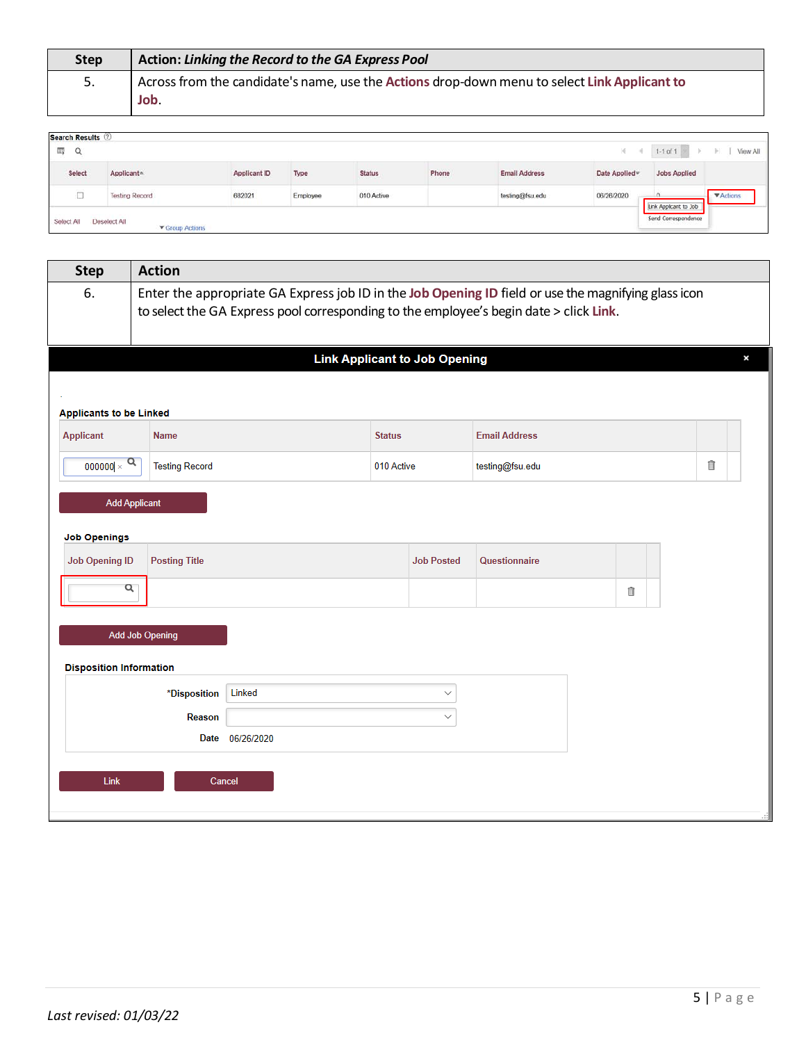| <b>Step</b> | Action: Linking the Record to the GA Express Pool                                            |
|-------------|----------------------------------------------------------------------------------------------|
| 5.          | Across from the candidate's name, use the Actions drop-down menu to select Link Applicant to |
|             | Job.                                                                                         |

| <b>Search Results 2</b> |                                        |              |          |                                |                |                      |                |                                              |                  |
|-------------------------|----------------------------------------|--------------|----------|--------------------------------|----------------|----------------------|----------------|----------------------------------------------|------------------|
| 霞<br>Q                  |                                        |              |          |                                |                |                      | 16             | $1-1$ of 1                                   | View All<br>H.   |
| <b>Select</b>           | Applicant <sup>*</sup>                 | Applicant ID | Type     | <b>Status</b><br>an an an an a | Phone<br>----- | <b>Email Address</b> | Date Applied w | <b>Jobs Applied</b>                          |                  |
| m.                      | <b>Testing Record</b>                  | 682021       | Employee | 010 Active                     |                | testing@fsu.edu      | 06/26/2020     | n                                            | <b>V</b> Actions |
| Select All              | Deselect All<br><b>V</b> Group Actions |              |          |                                |                |                      |                | Link Applicant to Job<br>Send Correspondence |                  |

| <b>Step</b>                                  | <b>Action</b>                                                                                                                                                                                  |            |               |                                      |                      |  |   |   |   |
|----------------------------------------------|------------------------------------------------------------------------------------------------------------------------------------------------------------------------------------------------|------------|---------------|--------------------------------------|----------------------|--|---|---|---|
| 6.                                           | Enter the appropriate GA Express job ID in the Job Opening ID field or use the magnifying glass icon<br>to select the GA Express pool corresponding to the employee's begin date > click Link. |            |               |                                      |                      |  |   |   |   |
|                                              |                                                                                                                                                                                                |            |               | <b>Link Applicant to Job Opening</b> |                      |  |   |   | × |
|                                              |                                                                                                                                                                                                |            |               |                                      |                      |  |   |   |   |
| <b>Applicants to be Linked</b>               |                                                                                                                                                                                                |            |               |                                      |                      |  |   |   |   |
| Applicant                                    | <b>Name</b>                                                                                                                                                                                    |            | <b>Status</b> |                                      | <b>Email Address</b> |  |   |   |   |
| $\alpha$<br>000000 $\times$                  | <b>Testing Record</b>                                                                                                                                                                          |            | 010 Active    |                                      | testing@fsu.edu      |  |   | ੋ |   |
|                                              | <b>Add Applicant</b>                                                                                                                                                                           |            |               |                                      |                      |  |   |   |   |
|                                              |                                                                                                                                                                                                |            |               |                                      |                      |  |   |   |   |
| <b>Job Openings</b><br><b>Job Opening ID</b> | <b>Posting Title</b>                                                                                                                                                                           |            |               | <b>Job Posted</b>                    | Questionnaire        |  |   |   |   |
|                                              |                                                                                                                                                                                                |            |               |                                      |                      |  |   |   |   |
| Q                                            |                                                                                                                                                                                                |            |               |                                      |                      |  | û |   |   |
|                                              | <b>Add Job Opening</b>                                                                                                                                                                         |            |               |                                      |                      |  |   |   |   |
|                                              |                                                                                                                                                                                                |            |               |                                      |                      |  |   |   |   |
| <b>Disposition Information</b>               |                                                                                                                                                                                                |            |               |                                      |                      |  |   |   |   |
|                                              | *Disposition                                                                                                                                                                                   | Linked     |               | $\checkmark$                         |                      |  |   |   |   |
|                                              | Reason                                                                                                                                                                                         |            |               | $\checkmark$                         |                      |  |   |   |   |
|                                              | Date                                                                                                                                                                                           | 06/26/2020 |               |                                      |                      |  |   |   |   |
|                                              |                                                                                                                                                                                                |            |               |                                      |                      |  |   |   |   |
| Link                                         | Cancel                                                                                                                                                                                         |            |               |                                      |                      |  |   |   |   |
|                                              |                                                                                                                                                                                                |            |               |                                      |                      |  |   |   |   |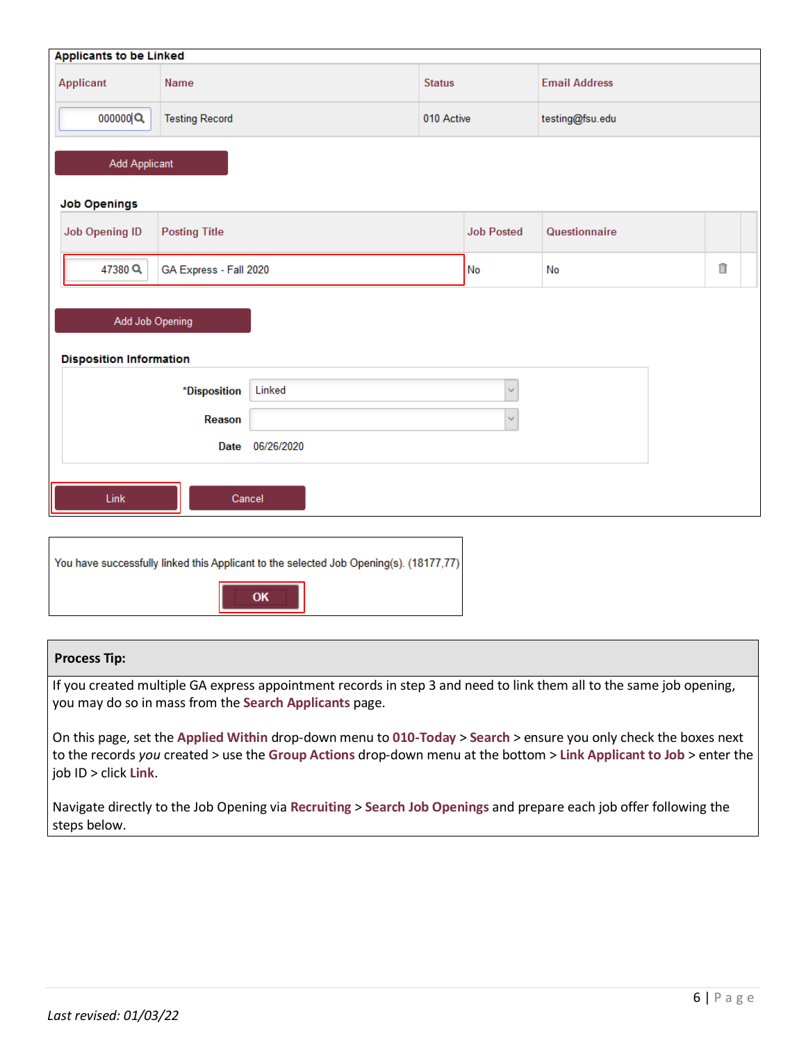| <b>Applicants to be Linked</b>                    |                        |                                                                                        |               |                               |                      |  |   |  |  |
|---------------------------------------------------|------------------------|----------------------------------------------------------------------------------------|---------------|-------------------------------|----------------------|--|---|--|--|
| <b>Applicant</b>                                  | Name                   |                                                                                        | <b>Status</b> |                               | <b>Email Address</b> |  |   |  |  |
| 000000                                            | <b>Testing Record</b>  |                                                                                        |               | 010 Active<br>testing@fsu.edu |                      |  |   |  |  |
| <b>Add Applicant</b>                              |                        |                                                                                        |               |                               |                      |  |   |  |  |
| <b>Job Openings</b>                               |                        |                                                                                        |               |                               |                      |  |   |  |  |
| <b>Job Opening ID</b>                             | <b>Posting Title</b>   |                                                                                        |               | <b>Job Posted</b>             | Questionnaire        |  |   |  |  |
| 47380Q                                            | GA Express - Fall 2020 |                                                                                        |               | No                            | No                   |  | î |  |  |
| Add Job Opening<br><b>Disposition Information</b> |                        |                                                                                        |               |                               |                      |  |   |  |  |
|                                                   |                        |                                                                                        |               |                               |                      |  |   |  |  |
|                                                   | *Disposition           | Linked                                                                                 |               | $\checkmark$                  |                      |  |   |  |  |
|                                                   | Reason                 |                                                                                        |               | $\checkmark$                  |                      |  |   |  |  |
|                                                   | <b>Date</b>            | 06/26/2020                                                                             |               |                               |                      |  |   |  |  |
| Link<br>Cancel                                    |                        |                                                                                        |               |                               |                      |  |   |  |  |
|                                                   |                        |                                                                                        |               |                               |                      |  |   |  |  |
|                                                   |                        | You have successfully linked this Applicant to the selected Job Opening(s). (18177,77) |               |                               |                      |  |   |  |  |
| г                                                 |                        |                                                                                        |               |                               |                      |  |   |  |  |

### **Process Tip:**

If you created multiple GA express appointment records in step 3 and need to link them all to the same job opening, you may do so in mass from the **Search Applicants** page.

OK

On this page, set the **Applied Within** drop-down menu to **010-Today** > **Search** > ensure you only check the boxes next to the records *you* created > use the **Group Actions** drop-down menu at the bottom > **Link Applicant to Job** > enter the job ID > click **Link**.

Navigate directly to the Job Opening via **Recruiting** > **Search Job Openings** and prepare each job offer following the steps below.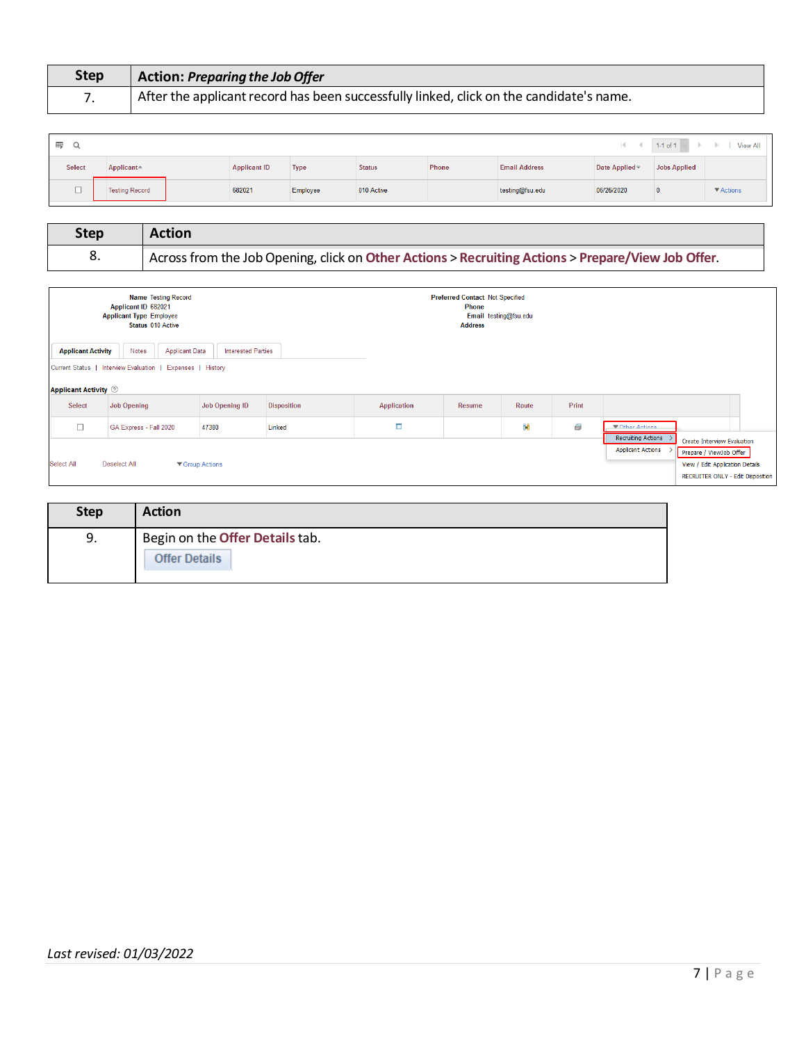| <b>Step</b> | Action: Preparing the Job Offer                                                         |
|-------------|-----------------------------------------------------------------------------------------|
|             | After the applicant record has been successfully linked, click on the candidate's name. |

| 罫<br>Q |                        |                     |             |               |       |                      |                     |              | $\vert \cdot \vert$ $\vert$ $\vert$ 1-1 of 1 $\vert \cdot \vert$ $\vert$ $\vert$ View All |
|--------|------------------------|---------------------|-------------|---------------|-------|----------------------|---------------------|--------------|-------------------------------------------------------------------------------------------|
| Select | $Applicant \spadesuit$ | <b>Applicant ID</b> | <b>Type</b> | <b>Status</b> | Phone | <b>Email Address</b> | <b>Date Applied</b> | Jobs Applied |                                                                                           |
|        | <b>Testing Record</b>  | 682021              | Employee    | 010 Active    |       | testing@fsu.edu      | 06/26/2020          |              | $\blacktriangledown$ Actions                                                              |

| <b>Step</b> | <b>Action</b>                                                                                      |
|-------------|----------------------------------------------------------------------------------------------------|
| - 8.        | Across from the Job Opening, click on Other Actions > Recruiting Actions > Prepare/View Job Offer. |

|                                                          | <b>Name Testing Record</b><br>Applicant ID 682021<br><b>Applicant Type Employee</b><br>Status 010 Active |                           |                    |             | <b>Preferred Contact Not Specified</b><br><b>Phone</b><br><b>Address</b> | Email testing@fsu.edu |       |                                                                                                                                                                                         |  |
|----------------------------------------------------------|----------------------------------------------------------------------------------------------------------|---------------------------|--------------------|-------------|--------------------------------------------------------------------------|-----------------------|-------|-----------------------------------------------------------------------------------------------------------------------------------------------------------------------------------------|--|
| <b>Applicant Activity</b><br><b>Applicant Activity ②</b> | Notes<br><b>Applicant Data</b><br>Current Status   Interview Evaluation   Expenses   History             | <b>Interested Parties</b> |                    |             |                                                                          |                       |       |                                                                                                                                                                                         |  |
| <b>Select</b>                                            | <b>Job Opening</b>                                                                                       | Job Opening ID            | <b>Disposition</b> | Application | Resume                                                                   | Route                 | Print |                                                                                                                                                                                         |  |
| $\Box$                                                   | GA Express - Fall 2020                                                                                   | 47380                     | Linked             | Œ.          |                                                                          | ĜÔ                    | 8     | TOther Actions                                                                                                                                                                          |  |
| Select All                                               | <b>Deselect All</b>                                                                                      | ▼ Group Actions           |                    |             |                                                                          |                       |       | <b>Recruiting Actions</b><br>Create Interview Evaluation<br><b>Applicant Actions</b><br>Prepare / ViewJob Offer<br>View / Edit Application Details<br>RECRUITER ONLY - Edit Disposition |  |

| <b>Step</b> | <b>Action</b>                   |
|-------------|---------------------------------|
| 9.          | Begin on the Offer Details tab. |
|             | <b>Offer Details</b>            |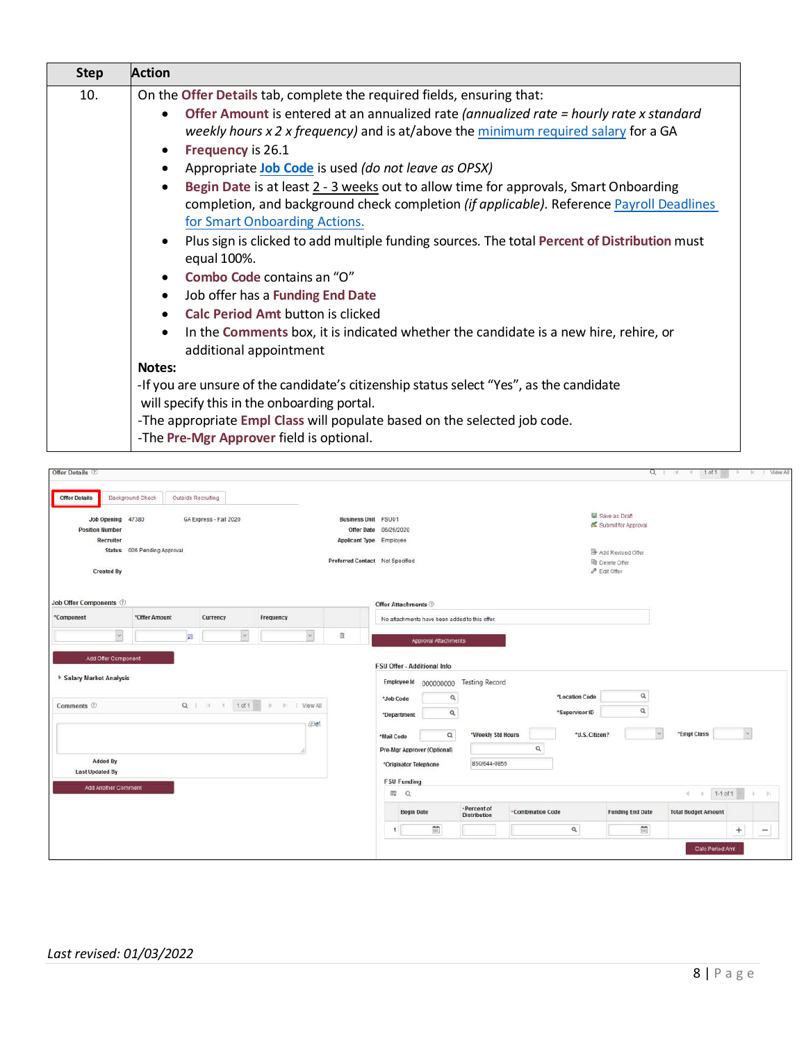| <b>Step</b> | <b>Action</b>                                                                                                                                                                                                                                                                                                                                                                                                                                                                                                                                                                                                                                            |
|-------------|----------------------------------------------------------------------------------------------------------------------------------------------------------------------------------------------------------------------------------------------------------------------------------------------------------------------------------------------------------------------------------------------------------------------------------------------------------------------------------------------------------------------------------------------------------------------------------------------------------------------------------------------------------|
| 10.         | On the Offer Details tab, complete the required fields, ensuring that:                                                                                                                                                                                                                                                                                                                                                                                                                                                                                                                                                                                   |
|             | Offer Amount is entered at an annualized rate (annualized rate = hourly rate x standard<br>$\bullet$<br>weekly hours $x$ 2 x frequency) and is at/above the minimum required salary for a GA<br>Frequency is 26.1<br>٠<br>Appropriate Job Code is used (do not leave as OPSX)<br>$\bullet$<br>Begin Date is at least 2 - 3 weeks out to allow time for approvals, Smart Onboarding<br>$\bullet$<br>completion, and background check completion (if applicable). Reference Payroll Deadlines<br>for Smart Onboarding Actions.<br>Plus sign is clicked to add multiple funding sources. The total Percent of Distribution must<br>$\bullet$<br>equal 100%. |
|             | Combo Code contains an "O"<br>$\bullet$<br>Job offer has a Funding End Date<br>٠<br><b>Calc Period Amt button is clicked</b><br>$\bullet$<br>In the Comments box, it is indicated whether the candidate is a new hire, rehire, or<br>$\bullet$<br>additional appointment                                                                                                                                                                                                                                                                                                                                                                                 |
|             | Notes:<br>-If you are unsure of the candidate's citizenship status select "Yes", as the candidate<br>will specify this in the onboarding portal.<br>-The appropriate Empl Class will populate based on the selected job code.<br>-The Pre-Mgr Approver field is optional.                                                                                                                                                                                                                                                                                                                                                                                |

|                                             |                             |                    |                          |                        |                                 | $Q \mid \mathbb{R}$ $\mid$ 1011                                                                                                                           |                                                                     |
|---------------------------------------------|-----------------------------|--------------------|--------------------------|------------------------|---------------------------------|-----------------------------------------------------------------------------------------------------------------------------------------------------------|---------------------------------------------------------------------|
| <b>Offer Details</b>                        | Background Check            | Outside Recruiting |                          |                        |                                 |                                                                                                                                                           |                                                                     |
| Job Opening 47380<br><b>Position Number</b> |                             |                    | GA Express - Fall 2020   |                        | <b>Business Unit FSU01</b>      | Save as Draft<br>Submit for Approval<br>Offer Date 06/26/2020                                                                                             |                                                                     |
| Recruiter                                   | Status 006 Pending Approval |                    |                          |                        | <b>Applicant Type Employee</b>  | Add Revised Offer                                                                                                                                         |                                                                     |
| <b>Created By</b>                           |                             |                    |                          |                        | Preferred Contact Not Specified | <b>li</b> Delete Offer<br>$\mathscr{O}$ Edit Offer                                                                                                        |                                                                     |
| <b>Job Offer Components</b> 2               |                             |                    |                          |                        |                                 | <b>Offer Attachments</b>                                                                                                                                  |                                                                     |
| *Component                                  | *Offer Amount               |                    | Currency                 | Frequency              |                                 | No attachments have been added to this offer.                                                                                                             |                                                                     |
| $\backsim$                                  |                             | 猏                  |                          | $\check{\phantom{a}}$  | 自                               | Approval Attachments                                                                                                                                      |                                                                     |
| Add Offer Component                         |                             |                    |                          |                        |                                 |                                                                                                                                                           |                                                                     |
|                                             |                             |                    |                          |                        |                                 | <b>FSU Offer - Additional Info</b>                                                                                                                        |                                                                     |
|                                             |                             |                    |                          |                        |                                 | Employee Id 000000000 Testing Record                                                                                                                      |                                                                     |
|                                             |                             |                    | $Q$   $M$ $4$   $1$ of 1 | $ k  =  k $   View All |                                 | Q<br>*Location Code<br>a<br>*Job Code<br>$\alpha$<br>*Supervisor ID                                                                                       |                                                                     |
|                                             |                             |                    |                          |                        | 四形                              | $\alpha$<br>*Department<br>$\sim$                                                                                                                         |                                                                     |
|                                             |                             |                    |                          |                        |                                 | $\alpha$<br>"Weekly Std Hours<br>*U.S. Citizen?<br>*Mail Code<br>$\alpha$<br>Pre-Mgr Approver (Optional)                                                  | $\vert \downarrow \vert$<br>"Empl Class                             |
| Added By<br><b>Last Updated By</b>          |                             |                    |                          |                        |                                 | 850/644-0855<br>*Originator Telephone                                                                                                                     |                                                                     |
| Add Another Comment                         |                             |                    |                          |                        |                                 | <b>FSU Funding</b>                                                                                                                                        |                                                                     |
|                                             |                             |                    |                          |                        |                                 | <b>四 Q</b>                                                                                                                                                | $1-1$ of $1$<br>R R<br>- 34<br>$\mathbb{R}$                         |
| Salary Market Analysis<br>Comments 2        |                             |                    |                          |                        |                                 | ·Percent of<br>·Combination Code<br><b>Funding End Date</b><br><b>Begin Date</b><br><b>Distribution</b><br>m<br>$\widetilde{\mathbb{H}}$<br>$\alpha$<br>1 | <b>Total Budget Amount</b><br>$\ddot{}$<br>$\overline{\phantom{m}}$ |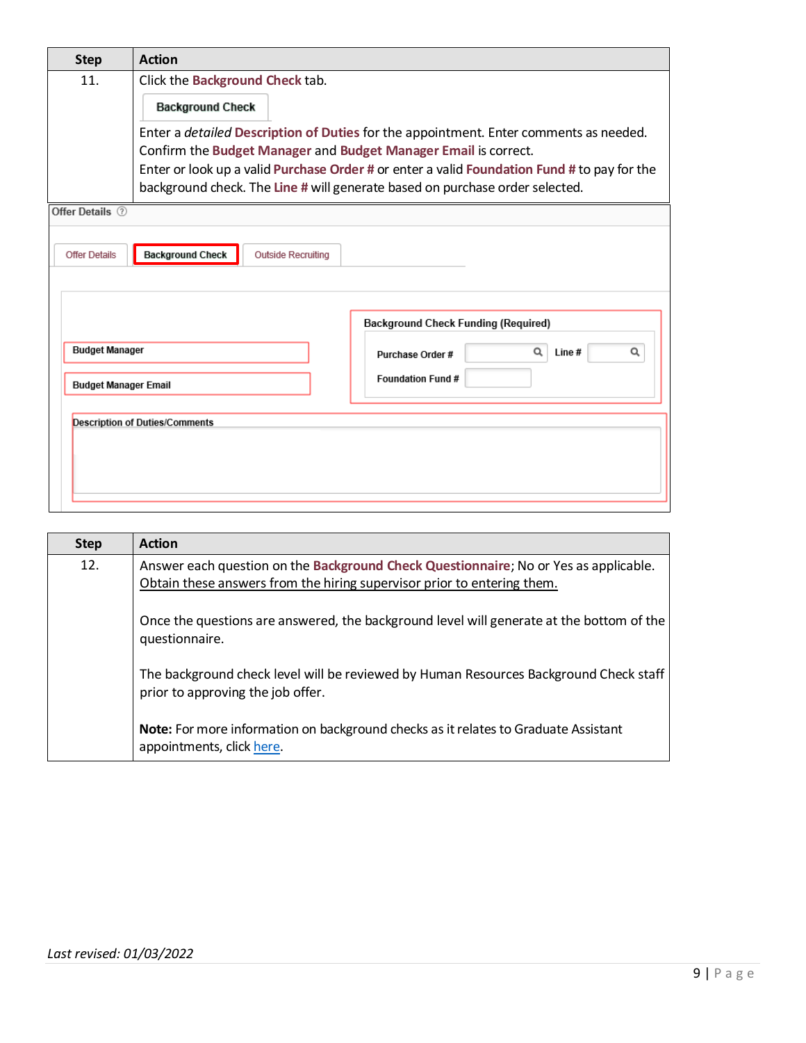| <b>Step</b>                 | <b>Action</b>                                                                                                                                                                                                                                                                                                                                  |  |  |  |  |  |  |
|-----------------------------|------------------------------------------------------------------------------------------------------------------------------------------------------------------------------------------------------------------------------------------------------------------------------------------------------------------------------------------------|--|--|--|--|--|--|
| 11.                         | Click the Background Check tab.                                                                                                                                                                                                                                                                                                                |  |  |  |  |  |  |
|                             | <b>Background Check</b>                                                                                                                                                                                                                                                                                                                        |  |  |  |  |  |  |
|                             | Enter a <i>detailed</i> Description of Duties for the appointment. Enter comments as needed.<br>Confirm the Budget Manager and Budget Manager Email is correct.<br>Enter or look up a valid Purchase Order # or enter a valid Foundation Fund # to pay for the<br>background check. The Line # will generate based on purchase order selected. |  |  |  |  |  |  |
| Offer Details (?)           |                                                                                                                                                                                                                                                                                                                                                |  |  |  |  |  |  |
| <b>Offer Details</b>        | <b>Background Check</b><br><b>Outside Recruiting</b>                                                                                                                                                                                                                                                                                           |  |  |  |  |  |  |
|                             | <b>Background Check Funding (Required)</b>                                                                                                                                                                                                                                                                                                     |  |  |  |  |  |  |
| <b>Budget Manager</b>       | Q<br>Q<br>Line #<br>Purchase Order #                                                                                                                                                                                                                                                                                                           |  |  |  |  |  |  |
| <b>Budget Manager Email</b> | Foundation Fund #                                                                                                                                                                                                                                                                                                                              |  |  |  |  |  |  |
|                             | <b>Description of Duties/Comments</b>                                                                                                                                                                                                                                                                                                          |  |  |  |  |  |  |
|                             |                                                                                                                                                                                                                                                                                                                                                |  |  |  |  |  |  |

| <b>Step</b> | <b>Action</b>                                                                                                                                                   |
|-------------|-----------------------------------------------------------------------------------------------------------------------------------------------------------------|
| 12.         | Answer each question on the Background Check Questionnaire; No or Yes as applicable.<br>Obtain these answers from the hiring supervisor prior to entering them. |
|             | Once the questions are answered, the background level will generate at the bottom of the<br>questionnaire.                                                      |
|             | The background check level will be reviewed by Human Resources Background Check staff<br>prior to approving the job offer.                                      |
|             | Note: For more information on background checks as it relates to Graduate Assistant<br>appointments, click here.                                                |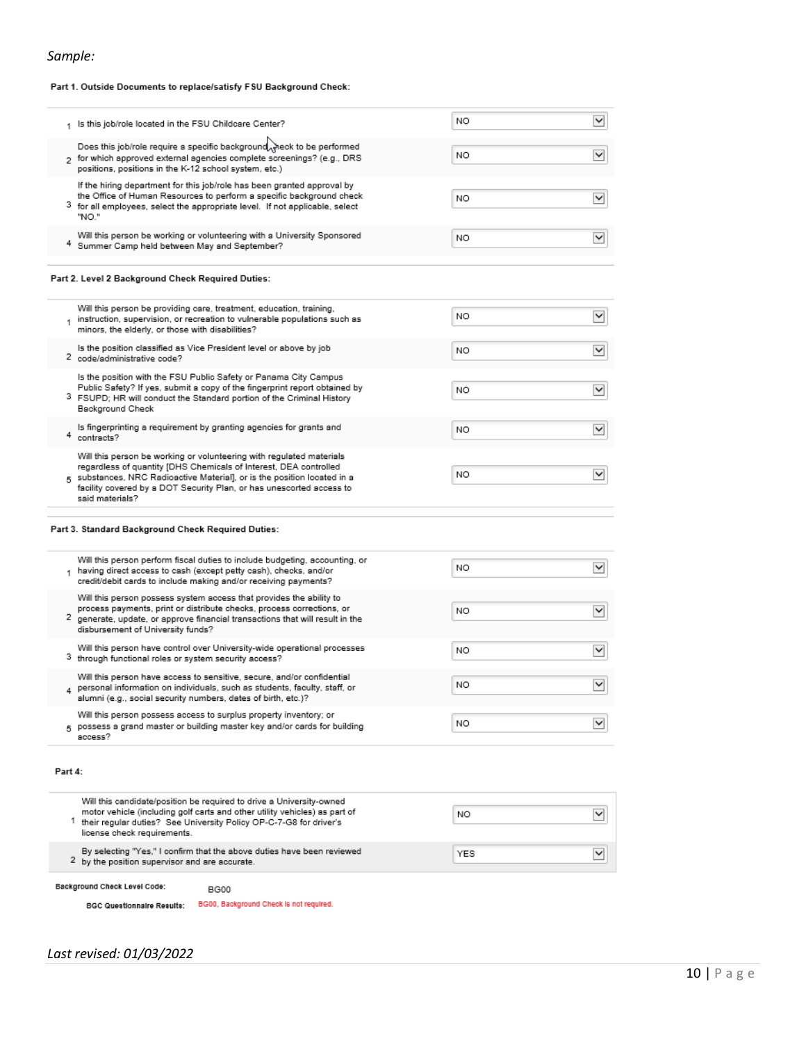#### Part 1. Outside Documents to replace/satisfy FSU Background Check:

| 1 Is this job/role located in the FSU Childcare Center?                                                                                                                                                                                                                                                          | NO  | $\check{}$               |
|------------------------------------------------------------------------------------------------------------------------------------------------------------------------------------------------------------------------------------------------------------------------------------------------------------------|-----|--------------------------|
| Does this job/role require a specific background weck to be performed<br>5 for which approved external agencies complete screenings? (e.g., DRS<br>positions, positions in the K-12 school system, etc.)                                                                                                         | NO. | $\checkmark$             |
| If the hiring department for this job/role has been granted approval by<br>the Office of Human Resources to perform a specific background check<br>3 for all employees, select the appropriate level. If not applicable, select<br>"NO."                                                                         | NO  | $\checkmark$             |
| Will this person be working or volunteering with a University Sponsored<br>4 Summer Camp held between May and September?                                                                                                                                                                                         | NO  | $\checkmark$             |
| Part 2. Level 2 Background Check Required Duties:                                                                                                                                                                                                                                                                |     |                          |
| Will this person be providing care, treatment, education, training,<br>instruction, supervision, or recreation to vulnerable populations such as<br>minors, the elderly, or those with disabilities?                                                                                                             | NΟ  | $\checkmark$             |
| Is the position classified as Vice President level or above by job<br>2 code/administrative code?                                                                                                                                                                                                                | NO  | $\check{ }$              |
| Is the position with the FSU Public Safety or Panama City Campus<br>Public Safety? If yes, submit a copy of the fingerprint report obtained by<br>3 FSUPD; HR will conduct the Standard portion of the Criminal History<br>Background Check                                                                      | NO  | M                        |
| Is fingerprinting a requirement by granting agencies for grants and<br>4 contracts?                                                                                                                                                                                                                              | NO  | $\overline{\mathbf{v}}$  |
| Will this person be working or volunteering with regulated materials<br>regardless of quantity [DHS Chemicals of Interest, DEA controlled<br>5 substances, NRC Radioactive Material], or is the position located in a<br>facility covered by a DOT Security Plan, or has unescorted access to<br>said materials? | NO  | $\overline{\mathbf{v}}$  |
| Part 3. Standard Background Check Required Duties:                                                                                                                                                                                                                                                               |     |                          |
| Will this person perform fiscal duties to include budgeting, accounting, or<br>1 having direct access to cash (except petty cash), checks, and/or<br>credit/debit cards to include making and/or receiving payments?                                                                                             | NΟ  | $\checkmark$             |
| Will this person possess system access that provides the ability to<br>process payments, print or distribute checks, process corrections, or<br>2 generate, update, or approve financial transactions that will result in the<br>disbursement of University funds?                                               | NO  | $\checkmark$             |
| Will this person have control over University-wide operational processes<br>3 through functional roles or system security access?                                                                                                                                                                                | NO  | $\checkmark$             |
| Will this person have access to sensitive, secure, and/or confidential<br>personal information on individuals, such as students, faculty, staff, or<br>4<br>alumni (e.g., social security numbers, dates of birth, etc.)?                                                                                        | NO  | $\check{}$               |
| Will this person possess access to surplus property inventory; or<br>5 possess a grand master or building master key and/or cards for building<br>access?                                                                                                                                                        | NO  | $\checkmark$             |
| Part 4:                                                                                                                                                                                                                                                                                                          |     |                          |
| Will this candidate/position be required to drive a University-owned<br>motor vehicle (including golf carts and other utility vehicles) as part of<br><sup>1</sup> their regular duties? See University Policy OP-C-7-G8 for driver's<br>license check requirements.                                             | NO  | $\overline{\phantom{0}}$ |
| By selecting "Yes," I confirm that the above duties have been reviewed<br>2 by the position supervisor and are accurate.                                                                                                                                                                                         | YES | $\check{}$               |
| Background Check Level Code:<br><b>BG00</b>                                                                                                                                                                                                                                                                      |     |                          |

BGC Questionnaire Results: BG00, Background Check is not required.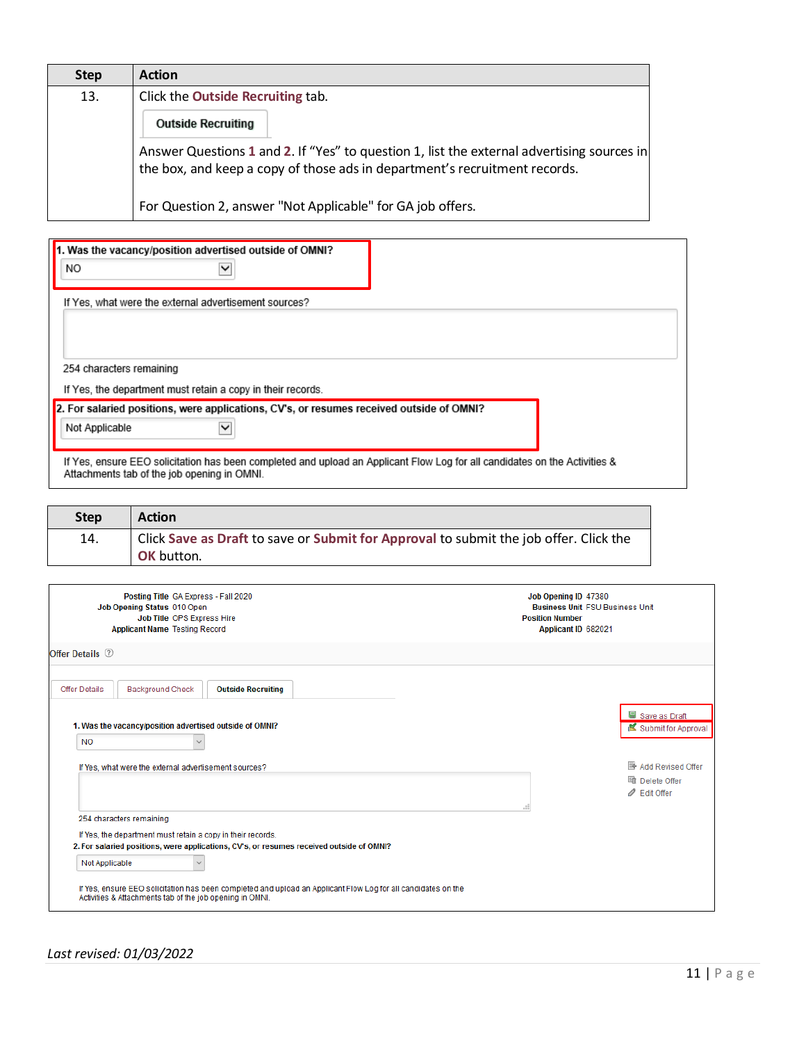| <b>Step</b> | <b>Action</b>                                                                                                                                                            |
|-------------|--------------------------------------------------------------------------------------------------------------------------------------------------------------------------|
| 13.         | Click the <b>Outside Recruiting</b> tab.                                                                                                                                 |
|             | <b>Outside Recruiting</b>                                                                                                                                                |
|             | Answer Questions 1 and 2. If "Yes" to question 1, list the external advertising sources in<br>the box, and keep a copy of those ads in department's recruitment records. |
|             | For Question 2, answer "Not Applicable" for GA job offers.                                                                                                               |

| 1. Was the vacancy/position advertised outside of OMNI?<br>NO.                                                                                                            |  |
|---------------------------------------------------------------------------------------------------------------------------------------------------------------------------|--|
|                                                                                                                                                                           |  |
| If Yes, what were the external advertisement sources?                                                                                                                     |  |
|                                                                                                                                                                           |  |
|                                                                                                                                                                           |  |
| 254 characters remaining                                                                                                                                                  |  |
| If Yes, the department must retain a copy in their records.                                                                                                               |  |
| 2. For salaried positions, were applications, CV's, or resumes received outside of OMNI?                                                                                  |  |
| Not Applicable<br>◡                                                                                                                                                       |  |
|                                                                                                                                                                           |  |
| If Yes, ensure EEO solicitation has been completed and upload an Applicant Flow Log for all candidates on the Activities &<br>Attachments tab of the job opening in OMNI. |  |

| <b>Step</b> | <b>Action</b>                                                                         |
|-------------|---------------------------------------------------------------------------------------|
| 14.         | Click Save as Draft to save or Submit for Approval to submit the job offer. Click the |
|             | <b>OK</b> button.                                                                     |

| Posting Title GA Express - Fall 2020<br>Job Opening Status 010 Open<br>Job Title OPS Express Hire<br><b>Applicant Name Testing Record</b>                                                                                                                                                                                                                                          | Job Opening ID 47380<br><b>Business Unit FSU Business Unit</b><br><b>Position Number</b><br>Applicant ID 682021 |                                                                              |
|------------------------------------------------------------------------------------------------------------------------------------------------------------------------------------------------------------------------------------------------------------------------------------------------------------------------------------------------------------------------------------|-----------------------------------------------------------------------------------------------------------------|------------------------------------------------------------------------------|
| Offer Details 2                                                                                                                                                                                                                                                                                                                                                                    |                                                                                                                 |                                                                              |
| <b>Background Check</b><br>Offer Details<br><b>Outside Recruiting</b><br>1. Was the vacancy/position advertised outside of OMNI?<br><b>NO</b>                                                                                                                                                                                                                                      |                                                                                                                 | Save as Draft<br>Submit for Approval                                         |
| If Yes, what were the external advertisement sources?                                                                                                                                                                                                                                                                                                                              |                                                                                                                 | <b>B</b> Add Revised Offer<br>lig Delete Offer<br><b><i>●</i></b> Edit Offer |
| 254 characters remaining<br>If Yes, the department must retain a copy in their records.<br>2. For salaried positions, were applications, CV's, or resumes received outside of OMNI?<br>Not Applicable<br>If Yes, ensure EEO solicitation has been completed and upload an Applicant Flow Log for all candidates on the<br>Activities & Attachments tab of the job opening in OMNI. |                                                                                                                 |                                                                              |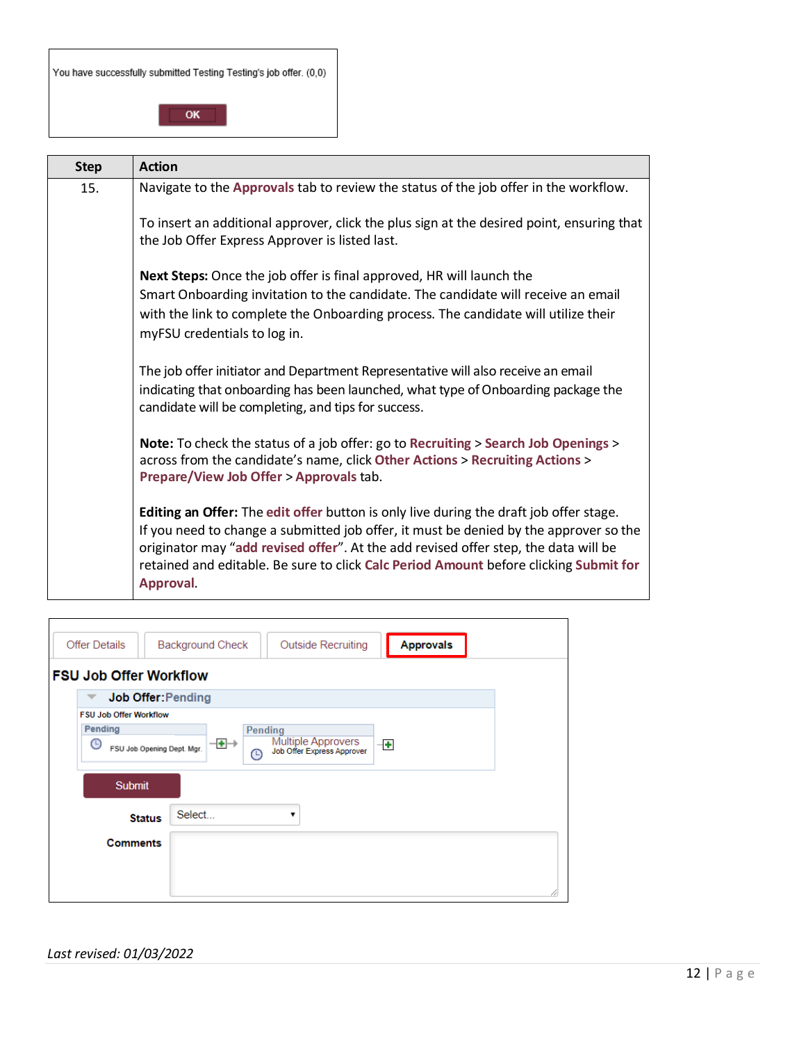|  | You have successfully submitted Testing Testing's job offer. (0,0) |
|--|--------------------------------------------------------------------|
|--|--------------------------------------------------------------------|

OK

| <b>Step</b> | <b>Action</b>                                                                                                                                                                                                                                                                                                                                                                       |
|-------------|-------------------------------------------------------------------------------------------------------------------------------------------------------------------------------------------------------------------------------------------------------------------------------------------------------------------------------------------------------------------------------------|
| 15.         | Navigate to the Approvals tab to review the status of the job offer in the workflow.                                                                                                                                                                                                                                                                                                |
|             | To insert an additional approver, click the plus sign at the desired point, ensuring that<br>the Job Offer Express Approver is listed last.                                                                                                                                                                                                                                         |
|             | Next Steps: Once the job offer is final approved, HR will launch the<br>Smart Onboarding invitation to the candidate. The candidate will receive an email<br>with the link to complete the Onboarding process. The candidate will utilize their<br>myFSU credentials to log in.                                                                                                     |
|             | The job offer initiator and Department Representative will also receive an email<br>indicating that onboarding has been launched, what type of Onboarding package the<br>candidate will be completing, and tips for success.                                                                                                                                                        |
|             | Note: To check the status of a job offer: go to Recruiting > Search Job Openings ><br>across from the candidate's name, click Other Actions > Recruiting Actions ><br>Prepare/View Job Offer > Approvals tab.                                                                                                                                                                       |
|             | <b>Editing an Offer:</b> The edit offer button is only live during the draft job offer stage.<br>If you need to change a submitted job offer, it must be denied by the approver so the<br>originator may "add revised offer". At the add revised offer step, the data will be<br>retained and editable. Be sure to click Calc Period Amount before clicking Submit for<br>Approval. |

| <b>Offer Details</b>            | <b>Approvals</b><br><b>Background Check</b><br><b>Outside Recruiting</b> |
|---------------------------------|--------------------------------------------------------------------------|
| <b>FSU Job Offer Workflow</b>   |                                                                          |
| <b>Job Offer: Pending</b>       |                                                                          |
| <b>FSU Job Offer Workflow</b>   |                                                                          |
| Pending                         | Pending                                                                  |
| G<br>FSU Job Opening Dept. Mgr. | Multiple Approvers<br>Job Offer Express Approver<br>⊣⊕→<br>⊣⊕<br>↷       |
| <b>Submit</b>                   |                                                                          |
| <b>Status</b>                   | Select<br>▼                                                              |
| <b>Comments</b>                 |                                                                          |
|                                 |                                                                          |